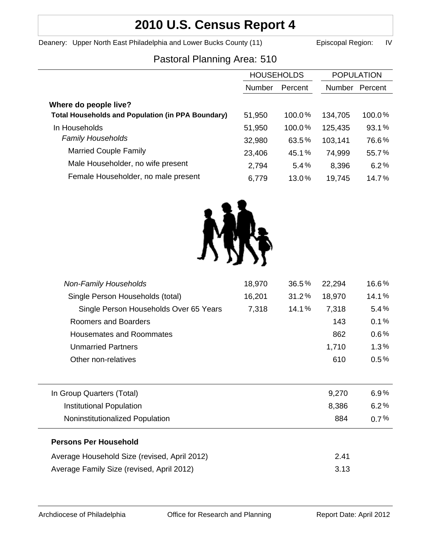# **2010 U.S. Census Report 4**

Deanery: Upper North East Philadelphia and Lower Bucks County (11) Episcopal Region: IV

# Pastoral Planning Area: 510

|                                                          | <b>HOUSEHOLDS</b> |         | <b>POPULATION</b> |         |
|----------------------------------------------------------|-------------------|---------|-------------------|---------|
|                                                          | <b>Number</b>     | Percent | <b>Number</b>     | Percent |
| Where do people live?                                    |                   |         |                   |         |
| <b>Total Households and Population (in PPA Boundary)</b> | 51,950            | 100.0%  | 134,705           | 100.0%  |
| In Households                                            | 51,950            | 100.0%  | 125,435           | 93.1%   |
| <b>Family Households</b>                                 | 32,980            | 63.5%   | 103,141           | 76.6%   |
| <b>Married Couple Family</b>                             | 23,406            | 45.1%   | 74,999            | 55.7%   |
| Male Householder, no wife present                        | 2,794             | 5.4%    | 8,396             | 6.2%    |
| Female Householder, no male present                      | 6,779             | 13.0%   | 19,745            | 14.7%   |



| <b>Non-Family Households</b>                 | 18,970 | 36.5% | 22,294 | 16.6%   |
|----------------------------------------------|--------|-------|--------|---------|
| Single Person Households (total)             | 16,201 | 31.2% | 18,970 | 14.1%   |
| Single Person Households Over 65 Years       | 7,318  | 14.1% | 7,318  | 5.4%    |
| Roomers and Boarders                         |        |       | 143    | 0.1%    |
| Housemates and Roommates                     |        |       | 862    | 0.6%    |
| <b>Unmarried Partners</b>                    |        |       | 1,710  | 1.3%    |
| Other non-relatives                          |        |       | 610    | $0.5\%$ |
|                                              |        |       |        |         |
| In Group Quarters (Total)                    |        |       | 9,270  | $6.9\%$ |
| <b>Institutional Population</b>              |        |       | 8,386  | 6.2%    |
| Noninstitutionalized Population              |        |       | 884    | $0.7\%$ |
| <b>Persons Per Household</b>                 |        |       |        |         |
| Average Household Size (revised, April 2012) |        |       | 2.41   |         |
| Average Family Size (revised, April 2012)    |        |       | 3.13   |         |
|                                              |        |       |        |         |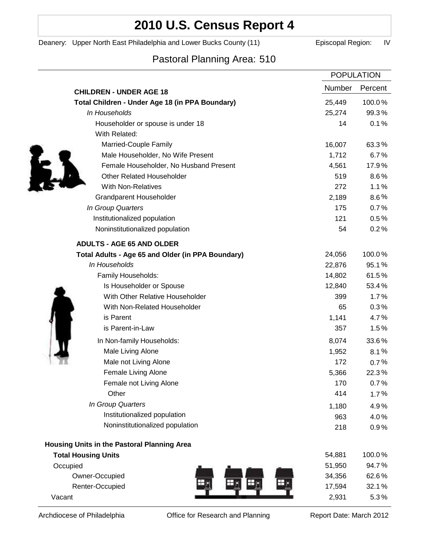# **2010 U.S. Census Report 4**

Deanery: Upper North East Philadelphia and Lower Bucks County (11) Episcopal Region: IV

# Pastoral Planning Area: 510

|                                                   | <b>POPULATION</b> |         |
|---------------------------------------------------|-------------------|---------|
| <b>CHILDREN - UNDER AGE 18</b>                    | <b>Number</b>     | Percent |
| Total Children - Under Age 18 (in PPA Boundary)   | 25,449            | 100.0%  |
| In Households                                     | 25,274            | 99.3%   |
| Householder or spouse is under 18                 | 14                | 0.1%    |
| With Related:                                     |                   |         |
| Married-Couple Family                             | 16,007            | 63.3%   |
| Male Householder, No Wife Present                 | 1,712             | 6.7%    |
| Female Householder, No Husband Present            | 4,561             | 17.9%   |
| <b>Other Related Householder</b>                  | 519               | 8.6%    |
| <b>With Non-Relatives</b>                         | 272               | 1.1%    |
| <b>Grandparent Householder</b>                    | 2,189             | $8.6\%$ |
| In Group Quarters                                 | 175               | 0.7%    |
| Institutionalized population                      | 121               | 0.5%    |
| Noninstitutionalized population                   | 54                | 0.2%    |
| <b>ADULTS - AGE 65 AND OLDER</b>                  |                   |         |
| Total Adults - Age 65 and Older (in PPA Boundary) | 24,056            | 100.0%  |
| In Households                                     | 22,876            | 95.1%   |
| Family Households:                                | 14,802            | 61.5%   |
| Is Householder or Spouse                          | 12,840            | 53.4%   |
| With Other Relative Householder                   | 399               | 1.7%    |
| With Non-Related Householder                      | 65                | 0.3%    |
| is Parent                                         | 1,141             | 4.7%    |
| is Parent-in-Law                                  | 357               | 1.5%    |
| In Non-family Households:                         | 8,074             | 33.6%   |
| Male Living Alone                                 | 1,952             | 8.1%    |
| Male not Living Alone                             | 172               | 0.7%    |
| Female Living Alone                               | 5,366             | 22.3%   |
| Female not Living Alone                           | 170               | 0.7%    |
| Other                                             | 414               | 1.7%    |
| In Group Quarters                                 | 1,180             | 4.9%    |
| Institutionalized population                      | 963               | 4.0%    |
| Noninstitutionalized population                   | 218               | 0.9%    |
| Housing Units in the Pastoral Planning Area       |                   |         |
| <b>Total Housing Units</b>                        | 54,881            | 100.0%  |
| Occupied                                          | 51,950            | 94.7%   |
| Owner-Occupied                                    | 34,356            | 62.6%   |
| Renter-Occupied                                   | 17,594            | 32.1%   |
| Vacant                                            | 2,931             | 5.3%    |

Archdiocese of Philadelphia **Office for Research and Planning** Report Date: March 2012